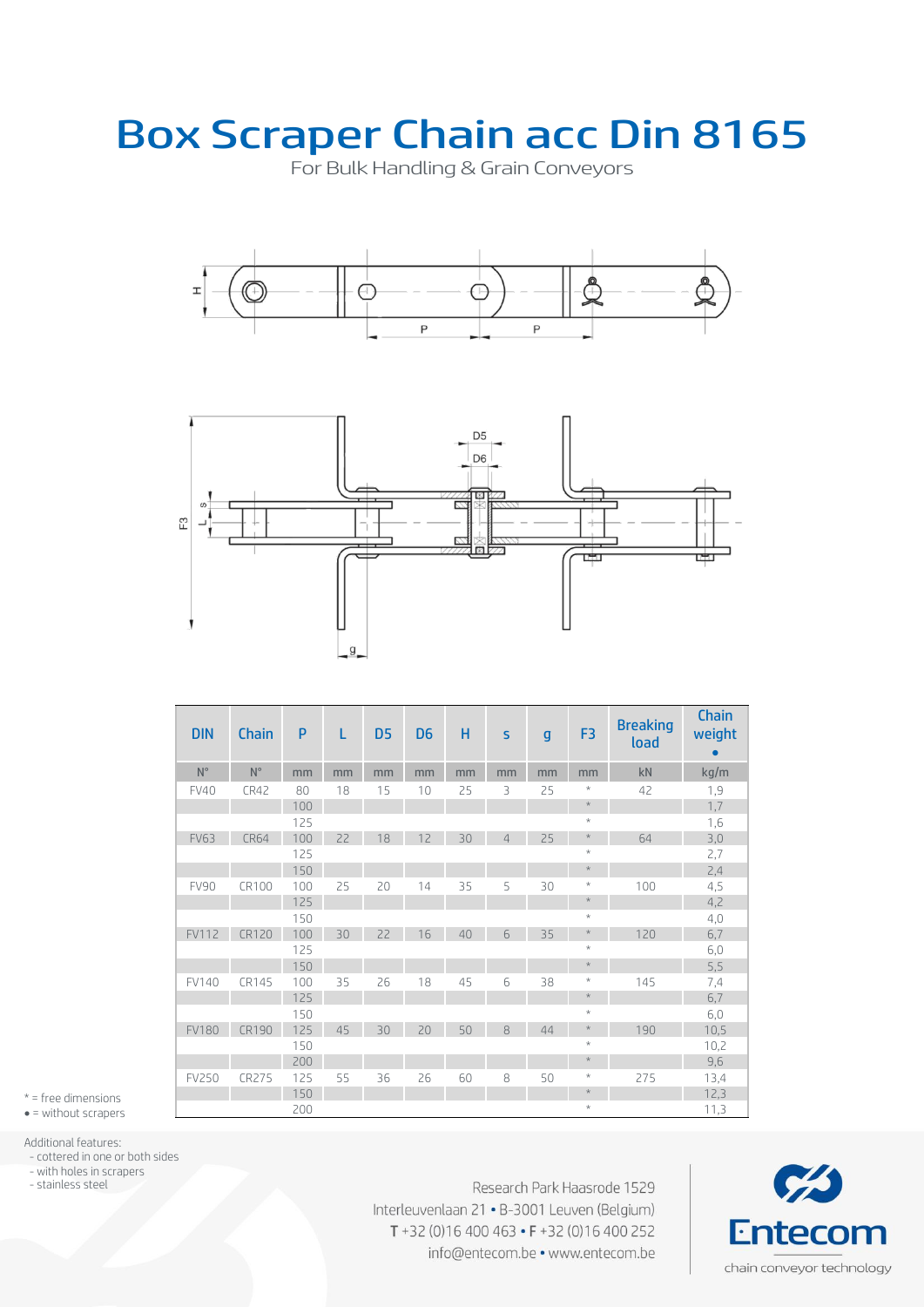## Box Scraper Chain acc Din 8165

For Bulk Handling & Grain Conveyors





| <b>DIN</b>   | Chain        | P   | L  | D <sub>5</sub> | D <sub>6</sub> | н  | S              | $\mathsf{g}$ | F <sub>3</sub> | <b>Breaking</b><br>load | Chain<br>weight<br>$\bullet$ |
|--------------|--------------|-----|----|----------------|----------------|----|----------------|--------------|----------------|-------------------------|------------------------------|
| $N^{\circ}$  | $N^{\circ}$  | mm  | mm | mm             | mm             | mm | mm             | mm           | mm             | kN                      | kg/m                         |
| <b>FV40</b>  | CR42         | 80  | 18 | 15             | 10             | 25 | 3              | 25           | $\star$        | 42                      | 1,9                          |
|              |              | 100 |    |                |                |    |                |              | $\star$        |                         | 1,7                          |
|              |              | 125 |    |                |                |    |                |              | $\star$        |                         | 1,6                          |
| <b>FV63</b>  | <b>CR64</b>  | 100 | 22 | 18             | 12             | 30 | $\overline{4}$ | 25           | $\star$        | 64                      | 3,0                          |
|              |              | 125 |    |                |                |    |                |              | $\star$        |                         | 2,7                          |
|              |              | 150 |    |                |                |    |                |              | $\star$        |                         | 2,4                          |
| <b>FV90</b>  | CR100        | 100 | 25 | 20             | 14             | 35 | 5              | 30           | $\star$        | 100                     | 4,5                          |
|              |              | 125 |    |                |                |    |                |              | $\star$        |                         | 4,2                          |
|              |              | 150 |    |                |                |    |                |              | $\star$        |                         | 4,0                          |
| <b>FV112</b> | <b>CR120</b> | 100 | 30 | 22             | 16             | 40 | 6              | 35           | $\star$        | 120                     | 6,7                          |
|              |              | 125 |    |                |                |    |                |              | $\star$        |                         | 6,0                          |
|              |              | 150 |    |                |                |    |                |              | $\star$        |                         | 5,5                          |
| FV140        | CR145        | 100 | 35 | 26             | 18             | 45 | 6              | 38           | $\star$        | 145                     | 7,4                          |
|              |              | 125 |    |                |                |    |                |              | $\star$        |                         | 6,7                          |
|              |              | 150 |    |                |                |    |                |              | $\star$        |                         | 6,0                          |
| <b>FV180</b> | <b>CR190</b> | 125 | 45 | 30             | 20             | 50 | 8              | 44           | $\star$        | 190                     | 10,5                         |
|              |              | 150 |    |                |                |    |                |              | $\star$        |                         | 10,2                         |
|              |              | 200 |    |                |                |    |                |              | $\star$        |                         | 9,6                          |
| <b>FV250</b> | <b>CR275</b> | 125 | 55 | 36             | 26             | 60 | 8              | 50           | $\star$        | 275                     | 13,4                         |
|              |              | 150 |    |                |                |    |                |              | $\star$        |                         | 12,3                         |
|              |              | 200 |    |                |                |    |                |              | $\star$        |                         | 11,3                         |

\* = free dimensions  $\bullet$  = without scrapers

Additional features:

- cottered in one or both sides

- with holes in scrapers

- stainless steel

Research Park Haasrode 1529 Interleuvenlaan 21 · B-3001 Leuven (Belgium) T+32 (0)16 400 463 • F+32 (0)16 400 252 info@entecom.be • www.entecom.be